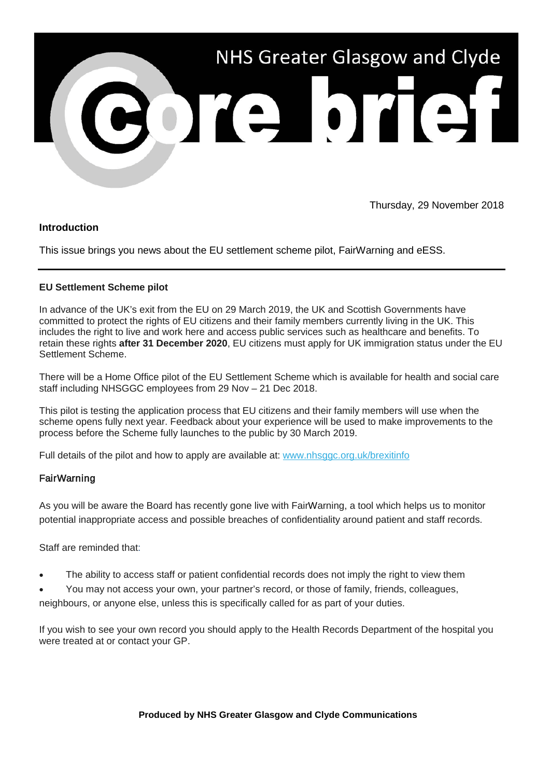

Thursday, 29 November 2018

## **Introduction**

This issue brings you news about the EU settlement scheme pilot, FairWarning and eESS.

## **EU Settlement Scheme pilot**

In advance of the UK's exit from the EU on 29 March 2019, the UK and Scottish Governments have committed to protect the rights of EU citizens and their family members currently living in the UK. This includes the right to live and work here and access public services such as healthcare and benefits. To retain these rights **after 31 December 2020**, EU citizens must apply for UK immigration status under the EU Settlement Scheme.

There will be a Home Office pilot of the EU Settlement Scheme which is available for health and social care staff including NHSGGC employees from 29 Nov – 21 Dec 2018.

This pilot is testing the application process that EU citizens and their family members will use when the scheme opens fully next year. Feedback about your experience will be used to make improvements to the process before the Scheme fully launches to the public by 30 March 2019.

Full details of the pilot and how to apply are available at: [www.nhsggc.org.uk/brexitinfo](https://nhsggc.us12.list-manage.com/track/click?u=0f385b5aea37eaf0213bd19fb&id=5784d6d8b3&e=5af5e1832c)

## **FairWarning**

As you will be aware the Board has recently gone live with FairWarning, a tool which helps us to monitor potential inappropriate access and possible breaches of confidentiality around patient and staff records.

Staff are reminded that:

- The ability to access staff or patient confidential records does not imply the right to view them
- You may not access your own, your partner's record, or those of family, friends, colleagues,

neighbours, or anyone else, unless this is specifically called for as part of your duties.

If you wish to see your own record you should apply to the Health Records Department of the hospital you were treated at or contact your GP.